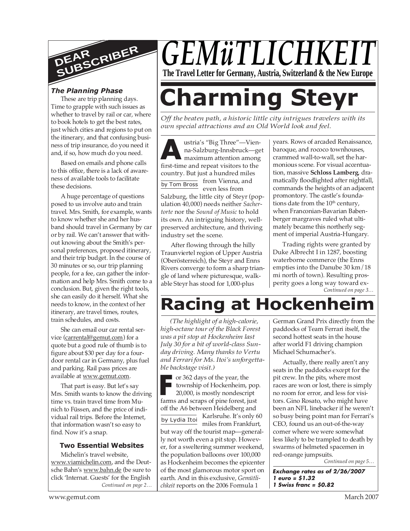

These are trip planning days. Time to grapple with such issues as whether to travel by rail or car, where to book hotels to get the best rates, just which cities and regions to put on the itinerary, and that confusing business of trip insurance, do you need it and, if so, how much do you need.

Based on emails and phone calls to this office, there is a lack of awareness of available tools to facilitate these decisions.

A huge percentage of questions posed to us involve auto and train travel. Mrs. Smith, for example, wants to know whether she and her husband should travel in Germany by car or by rail. We can't answer that without knowing about the Smith's personal preferences, proposed itinerary, and their trip budget. In the course of 30 minutes or so, our trip planning people, for a fee, can gather the information and help Mrs. Smith come to a conclusion. But, given the right tools, she can easily do it herself. What she needs to know, in the context of her itinerary, are travel times, routes, train schedules, and costs.

She can email our car rental service (carrental@gemut.com) for a quote but a good rule of thumb is to figure about \$30 per day for a fourdoor rental car in Germany, plus fuel and parking. Rail pass prices are available at www.gemut.com.

That part is easy. But let's say Mrs. Smith wants to know the driving time vs. train travel time from Munich to Füssen, and the price of individual rail trips. Before the Internet, that information wasn't so easy to find. Now it's a snap.

#### **Two Essential Websites**

*Continued on page 2…* Michelin's travel website, www.viamichelin.com, and the Deutsche Bahn's www.bahn.de (be sure to click 'Internat. Guests' for the English

# *GEMüTLICHKI* **The Travel Letter for Germany, Austria, Switzerland & the New Europe**

# *The Planning Phase* are trip planning days.<br>Time to grapple with such issues as **Charming Level**

*Off the beaten path, a historic little city intrigues travelers with its own special attractions and an Old World look and feel.*

**A** first-time and repeat visitors to the by Tom Bross ustria's "Big Three"—Vienna-Salzburg-Innsbruck—get maximum attention among country. But just a hundred miles from Vienna, and even less from Salzburg, the little city of Steyr (population 40,000) needs neither *Sachertorte* nor the *Sound of Music* to hold its own. An intriguing history, wellpreserved architecture, and thriving industry set the scene.

After flowing through the hilly Traunviertel region of Upper Austria (Oberösterreich), the Steyr and Enns Rivers converge to form a sharp triangle of land where picturesque, walkable Steyr has stood for 1,000-plus

years. Rows of arcaded Renaissance, baroque, and rococo townhouses, crammed wall-to-wall, set the harmonious scene. For visual accentuation, massive **Schloss Lamberg**, dramatically floodlighted after nightfall, commands the heights of an adjacent promontory. The castle's foundations date from the  $10<sup>th</sup>$  century, when Franconian-Bavarian Babenberger margraves ruled what ultimately became this northerly segment of imperial Austria-Hungary.

*Continued on page 3…* Trading rights were granted by Duke Albrecht I in 1287, boosting waterborne commerce (the Enns empties into the Danube 30 km/18 mi north of town). Resulting prosperity goes a long way toward ex-

## **Racing at Hocken**

*(The highlight of a high-calorie, high-octane tour of the Black Forest was a pit stop at Hockenheim last July 30 for a bit of world-class Sunday driving. Many thanks to Vertu and Ferrari for Ms. Itoi's unforgettable backstage visit.)*

**Farms and scraps of the year, the township of Hockenheim, pop 20,000, is mostly nondescript farms and scraps of pine forest, just** or 362 days of the year, the township of Hockenheim, pop. 20,000, is mostly nondescript off the A6 between Heidelberg and

by Lydia Itoi Karlsruhe. It's only 60

miles from Frankfurt, but way off the tourist map—generally not worth even a pit stop. However, for a sweltering summer weekend, the population balloons over 100,000 as Hockenheim becomes the epicenter of the most glamorous motor sport on earth. And in this exclusive, *Gemütlichkeit* reports on the 2006 Formula 1

German Grand Prix directly from the paddocks of Team Ferrari itself, the second hottest seats in the house after world F1 driving champion Michael Schumacher's.

Actually, there really aren't any seats in the paddocks except for the pit crew. In the pits, where most races are won or lost, there is simply no room for error, and less for visitors. Gino Rosato, who might have been an NFL linebacker if he weren't so busy being point man for Ferrari's CEO, found us an out-of-the-way corner where we were somewhat less likely to be trampled to death by swarms of helmeted spacemen in red-orange jumpsuits.

*Continued on page 5…*

**Exchange rates as of 2/26/2007 1 euro = \$1.32 1 Swiss franc = \$0.82**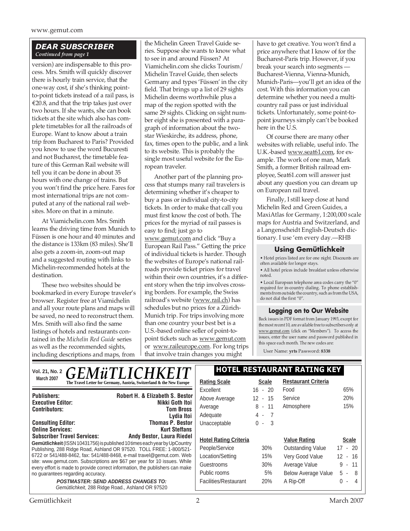#### *DEAR SUBSCRIBER Continued from page 1*

version) are indispensable to this process. Mrs. Smith will quickly discover there is hourly train service, that the one-way cost, if she's thinking pointto-point tickets instead of a rail pass, is €20.8, and that the trip takes just over two hours. If she wants, she can book tickets at the site which also has complete timetables for all the railroads of Europe. Want to know about a train trip from Bucharest to Paris? Provided you know to use the word Bucuresti and not Bucharest, the timetable feature of this German Rail website will tell you it can be done in about 35 hours with one change of trains. But you won't find the price here. Fares for most international trips are not computed at any of the national rail websites. More on that in a minute.

At Viamichelin.com Mrs. Smith learns the driving time from Munich to Füssen is one hour and 40 minutes and the distance is 133km (83 miles). She'll also gets a zoom-in, zoom-out map and a suggested routing with links to Michelin-recommended hotels at the destination.

These two websites should be bookmarked in every Europe traveler's browser. Register free at Viamichelin and all your route plans and maps will be saved, no need to reconstruct them. Mrs. Smith will also find the same listings of hotels and restaurants contained in the *Michelin Red Guide* series as well as the recommended sights, including descriptions and maps, from

the Michelin Green Travel Guide series. Suppose she wants to know what to see in and around Füssen? At Viamichelin.com she clicks Tourism/ Michelin Travel Guide, then selects Germany and types 'Füssen' in the city field. That brings up a list of 29 sights Michelin deems worthwhile plus a map of the region spotted with the same 29 sights. Clicking on sight number eight she is presented with a paragraph of information about the twostar Wieskirche, its address, phone, fax, times open to the public, and a link to its website. This is probably the single most useful website for the European traveler.

Another part of the planning process that stumps many rail travelers is determining whether it's cheaper to buy a pass or individual city-to-city tickets. In order to make that call you must first know the cost of both. The prices for the myriad of rail passes is easy to find; just go to www.gemut.com and click "Buy a European Rail Pass." Getting the price of individual tickets is harder. Though the websites of Europe's national railroads provide ticket prices for travel within their own countries, it's a different story when the trip involves crossing borders. For example, the Swiss railroad's website (www.rail.ch) has schedules but no prices for a Zürich-Munich trip. For trips involving more than one country your best bet is a U.S.-based online seller of point-topoint tickets such as www.gemut.com or www.raileurope.com. For long trips that involve train changes you might

have to get creative. You won't find a price anywhere that I know of for the Bucharest-Paris trip. However, if you break your search into segments — Bucharest-Vienna, Vienna-Munich, Munich-Paris—you'll get an idea of the cost. With this information you can determine whether you need a multicountry rail pass or just individual tickets. Unfortunately, some point-topoint journeys simply can't be booked here in the U.S.

Of course there are many other websites with reliable, useful info. The U.K.-based www.seat61.com, for example. The work of one man, Mark Smith, a former British railroad employee, Seat61.com will answer just about any question you can dream up on European rail travel.

Finally, I still keep close at hand Michelin Red and Green Guides, a MaxiAtlas for Germany, 1:200,000 scale maps for Austria and Switzerland, and a Langenscheidt English-Deutsch dictionary. I use 'em every day.—RHB

#### **Using Gemütlichkeit**

• Hotel prices listed are for one night. Discounts are often available for longer stays.

• All hotel prices include breakfast unless otherwise noted.

• Local European telephone area codes carry the "0" required for in-country dialing. To phone establish-ments from outside the country, such as from the USA, do not dial the first "0".

#### **Logging on to Our Website**

Back issues in PDF format from January 1993, except for the most recent 10, are available free to subscribers only at www.gemut.com (click on "Members"). To access the issues, enter the user name and password published in this space each month. The new codes are:

User Name: **yrts** Password: **8338**

| <b>GEMÜTLICHKEIT</b><br>Vol. 21, No. 2                                                                                                                                                         | HOTEL RESTAURANT RATING KEY  |              |                            |                               |
|------------------------------------------------------------------------------------------------------------------------------------------------------------------------------------------------|------------------------------|--------------|----------------------------|-------------------------------|
| <b>March 2007</b><br>The Travel Letter for Germany, Austria, Switzerland & the New Europe                                                                                                      | <b>Rating Scale</b>          | <b>Scale</b> | <b>Restaurant Criteria</b> |                               |
|                                                                                                                                                                                                | Excellent                    | $16 - 20$    | Food                       | 65%                           |
| <b>Robert H. &amp; Elizabeth S. Bestor</b><br><b>Publishers:</b>                                                                                                                               | Above Average                | $12 - 15$    | Service                    | 20%                           |
| Nikki Goth Itoi<br><b>Executive Editor:</b><br><b>Contributors:</b><br><b>Tom Bross</b>                                                                                                        | Average                      | $8 - 11$     | Atmosphere                 | 15%                           |
| Lydia Itoi                                                                                                                                                                                     | Adequate                     | 4 - 7        |                            |                               |
| <b>Thomas P. Bestor</b><br><b>Consulting Editor:</b>                                                                                                                                           | Unacceptable                 | $0 - 3$      |                            |                               |
| <b>Online Services:</b><br><b>Kurt Steffans</b>                                                                                                                                                |                              |              |                            |                               |
| <b>Subscriber Travel Services:</b><br><b>Andy Bestor, Laura Riedel</b>                                                                                                                         | <b>Hotel Rating Criteria</b> |              | <b>Value Rating</b>        | <b>Scale</b>                  |
| Gemütlichkeit (ISSN 10431756) is published 10 times each year by UpCountry<br>Publishing, 288 Ridge Road, Ashland OR 97520. TOLL FREE: 1-800/521-                                              | People/Service               | 30%          | <b>Outstanding Value</b>   | $17 - 20$                     |
| 6722 or 541/488-8462, fax: 541/488-8468, e-mail travel@gemut.com. Web                                                                                                                          | Location/Setting             | 15%          | Very Good Value            | $12 - 16$                     |
| site: www.gemut.com. Subscriptions are \$67 per year for 10 issues. While<br>every effort is made to provide correct information, the publishers can make<br>no guarantees regarding accuracy. | Guestrooms                   | 30%          | Average Value              | $9 - 11$                      |
|                                                                                                                                                                                                | Public rooms                 | 5%           | <b>Below Average Value</b> | $5 - 8$                       |
| <b>POSTMASTER: SEND ADDRESS CHANGES TO:</b><br>Gemütlichkeit, 288 Ridge Road., Ashland OR 97520                                                                                                | Facilities/Restaurant        | 20%          | A Rip-Off                  | 0<br>$\overline{\phantom{a}}$ |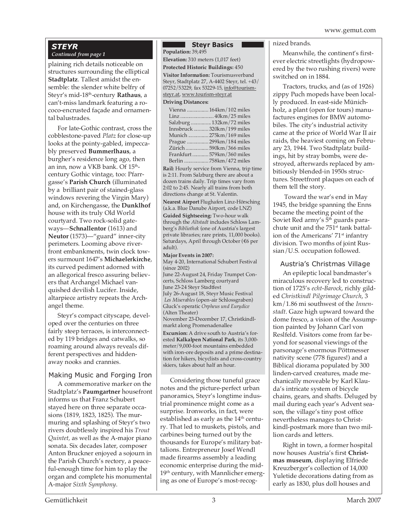### *STEYR*

#### *Continued from page 1*

plaining rich details noticeable on structures surrounding the elliptical **Stadtplatz**. Tallest amidst the ensemble: the slender white belfry of Steyr's mid-18th-century **Rathaus**, a can't-miss landmark featuring a rococo-encrusted façade and ornamental balustrades.

For late-Gothic contrast, cross the cobblestone-paved *Platz* for close-up looks at the pointy-gabled, impeccably preserved **Bummerlhaus**, a burgher's residence long ago, then an inn, now a VKB bank. Of 15<sup>th</sup>century Gothic vintage, too: Pfarrgasse's **Parish Church** (illuminated by a brilliant pair of stained-glass windows revering the Virgin Mary) and, on Kirchengasse, the **Dunklhof** house with its truly Old World courtyard. Two rock-solid gateways—**Schnallentor** (1613) and **Neutor** (1573)—"guard" inner-city perimeters. Looming above riverfront embankments, twin clock towers surmount 1647's **Michaelerkirche**, its curved pediment adorned with an allegorical fresco assuring believers that Archangel Michael vanquished devilish Lucifer. Inside, altarpiece artistry repeats the Archangel theme.

Steyr's compact cityscape, developed over the centuries on three fairly steep terraces, is interconnected by 119 bridges and catwalks, so roaming around always reveals different perspectives and hiddenaway nooks and crannies.

#### Making Music and Forging Iron

A commemorative marker on the Stadtplatz's **Paumgartner** housefront informs us that Franz Schubert stayed here on three separate occasions (1819, 1823, 1825). The murmuring and splashing of Steyr's two rivers doubtlessly inspired his *Trout Quintet,* as well as the A-major piano sonata. Six decades later, composer Anton Bruckner enjoyed a sojourn in the Parish Church's rectory, a peaceful-enough time for him to play the organ and complete his monumental A-major *Sixth Symphony*.

#### **N** Steyr Basics

**Population:** 39,495

**Elevation:** 310 meters (1,017 feet)

**Protected Historic Buildings:** 450 **Visitor Information:** Tourismusverband Steyr, Stadtplatz 27, A-4402 Steyr, tel. +43/ 07252/53229, fax 53229-15, info@tourismsteyr.at, www.tourism-steyr.at

#### **Driving Distances:**

| Vienna  164km/102 miles      |
|------------------------------|
|                              |
| Salzburg  132km/72 miles     |
| Innsbruck  320km / 199 miles |
| Munich 275km/169 miles       |
| Prague  299km/184 miles      |
| Zürich  590km / 366 miles    |
| Frankfurt579km/360 miles     |
| Berlin 758km/472 miles       |
|                              |

**Rail:** Hourly service from Vienna, trip time is 2:11. From Salzburg there are about a dozen trains daily. Trip times vary from 2:02 to 2:45. Nearly all trains from both directions change at St. Valentin.

**Nearest Airport** Flughafen Linz-Hörsching (a.k.a. Blue Danube Airport, code LNZ)

**Guided Sightseeing:** Two-hour walk through the *Altstadt* includes Schloss Lamberg's *Bibliothek* (one of Austria's largest private libraries; rare prints, 11,000 books). Saturdays, April through October (€6 per adult).

#### **Major Events in 2007:**

May 4-20, International Schubert Festival (since 2002) June 22-August 24, Friday Trumpet Concerts, Schloss Lamberg courtyard June 23-24 Steyr Stadtfest July 26-August 18, Steyr Music Festival *Les Miserables* (open-air Schlossgraben) Gluck's operatic *Orpheus und Eurydice* (Alten Theater) November 23-December 17, Christkindlmarkt along Promenadenallee **Excursion:** A drive south to Austria's forested **Kalkalpen National Park**, its 3,000 meter/9,000-foot mountains embedded with iron-ore deposits and a prime destination for hikers, bicyclists and cross-country skiers, takes about half an hour.

Considering those tuneful grace notes and the picture-perfect urban panoramics, Steyr's longtime industrial prominence might come as a surprise. Ironworks, in fact, were established as early as the  $14<sup>th</sup>$  century. That led to muskets, pistols, and carbines being turned out by the thousands for Europe's military battalions. Entrepreneur Josef Wendl made firearms assembly a leading economic enterprise during the mid-19<sup>th</sup> century, with Mannlicher emerging as one of Europe's most-recog-

#### nized brands.

Meanwhile, the continent's firstever electric streetlights (hydropowered by the two rushing rivers) were switched on in 1884.

Tractors, trucks, and (as of 1926) zippy Puch mopeds have been locally produced. In east-side Münichholz, a plant (open for tours) manufactures engines for BMW automobiles. The city's industrial activity came at the price of World War II air raids, the heaviest coming on February 23, 1944. Two Stadtplatz buildings, hit by stray bombs, were destroyed, afterwards replaced by ambitiously blended-in 1950s structures. Streetfront plaques on each of them tell the story.

 Toward the war's end in May 1945, the bridge spanning the Enns became the meeting point of the Soviet Red army's 5<sup>th</sup> guards parachute unit and the 751<sup>st</sup> tank battalion of the Americans' 71<sup>st</sup> infantry division. Two months of joint Russian/U.S. occupation followed.

#### Austria's Christmas Village

An epileptic local bandmaster's miraculous recovery led to construction of 1725's *echt-Barock*, richly gilded *Christkindl Pilgrimage Church*, 3 km/1.86 mi southwest of the *Innenstadt*. Gaze high upward toward the dome fresco, a vision of the Assumption painted by Johann Carl von Reslfeld. Visitors come from far beyond for seasonal viewings of the parsonage's enormous Pöttmesser nativity scene (778 figures!) and a Biblical diorama populated by 300 linden-carved creatures, made mechanically moveable by Karl Klauda's intricate system of bicycle chains, gears, and shafts. Deluged by mail during each year's Advent season, the village's tiny post office nevertheless manages to Christkindl-postmark more than two million cards and letters.

Right in town, a former hospital now houses Austria's first **Christmas museum**, displaying Elfriede Kreuzberger's collection of 14,000 Yuletide decorations dating from as early as 1830, plus doll houses and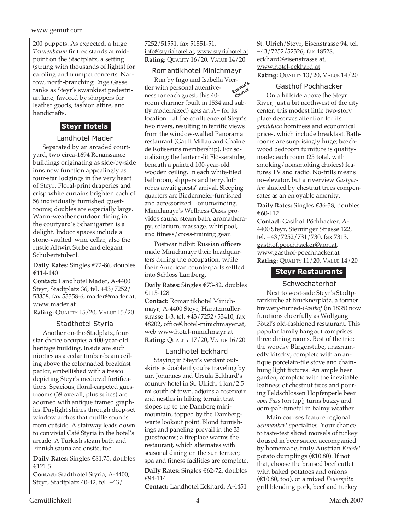200 puppets. As expected, a huge *Tannenbaum* fir tree stands at midpoint on the Stadtplatz, a setting (strung with thousands of lights) for caroling and trumpet concerts. Narrow, north-branching Enge Gasse ranks as Steyr's swankiest pedestrian lane, favored by shoppers for leather goods, fashion attire, and handicrafts.

#### **Steyr Hotels**

#### Landhotel Mader

Separated by an arcaded courtyard, two circa-1694 Renaissance buildings originating as side-by-side inns now function appealingly as four-star lodgings in the very heart of Steyr. Floral-print draperies and crisp white curtains brighten each of 56 individually furnished guestrooms; doubles are especially large. Warm-weather outdoor dining in the courtyard's Schanigarten is a delight. Indoor spaces include a stone-vaulted wine cellar, also the rustic Altwirt Stube and elegant Schubertstüberl.

**Daily Rates:** Singles €72-86, doubles €114-140

**Contact:** Landhotel Mader, A-4400 Steyr, Stadtplatz 36, tel. +43/7252/ 53358, fax 53358-6, mader@mader.at, www.mader.at

**Rating:** QUALITY 15/20, VALUE 15/20

#### Stadthotel Styria

Another on-the-Stadplatz, fourstar choice occupies a 400-year-old heritage building. Inside are such niceties as a cedar timber-beam ceiling above the colonnaded breakfast parlor, embellished with a fresco depicting Steyr's medieval fortifications. Spacious, floral-carpeted guestrooms (39 overall, plus suites) are adorned with antique framed graphics. Daylight shines through deep-set window arches that muffle sounds from outside. A stairway leads down to convivial Café Styria in the hotel's arcade. A Turkish steam bath and Finnish sauna are onsite, too.

**Daily Rates:** Singles €81.75, doubles €121.5

**Contact:** Stadthotel Styria, A-4400, Steyr, Stadtplatz 40-42, tel. +43/

7252/51551, fax 51551-51, info@styriahotel.at, www.styriahotel.at **Rating:** QUALITY 16/20, VALUE 14/20

#### Romantikhotel Minichmayr

Run by Ingo and Isabella Viertler with personal attentiveness for each guest, this 40 room charmer (built in 1534 and subtly modernized) gets an A+ for its location—at the confluence of Steyr's two rivers, resulting in terrific views from the window-walled Panorama restaurant (Gault Millau and Chaîne de Rotisseurs membership). For socializing: the lantern-lit Flösserstube, beneath a painted 100-year-old wooden ceiling. In each white-tiled bathroom, slippers and terrycloth robes await guests' arrival. Sleeping quarters are Biedermeier-furnished and accessorized. For unwinding, Minichmayr's Wellness-Oasis provides sauna, steam bath, aromatherapy, solarium, massage, whirlpool, and fitness/cross-training gear. **EDITOR'<sup>S</sup> CHOICE**

Postwar tidbit: Russian officers made Minichmayr their headquarters during the occupation, while their American counterparts settled into Schloss Lamberg.

**Daily Rates:** Singles €73-82, doubles €115-128

**Contact:** Romantikhotel Minichmayr, A-4400 Steyr, Haratzmüllerstrasse 1-3, tel. +43/7252/53410, fax 48202, office@hotel-minichmayer.at, web www.hotel-minichmayr.at **Rating:** QUALITY 17/20, VALUE 16/20

#### Landhotel Eckhard

Staying in Steyr's verdant outskirts is doable if you're traveling by car. Johannes and Ursula Eckhard's country hotel in St. Ulrich, 4 km/2.5 mi south of town, adjoins a reservoir and nestles in hiking terrain that slopes up to the Damberg minimountain, topped by the Dambergwarte lookout point. Blond furnishings and paneling prevail in the 33 guestrooms; a fireplace warms the restaurant, which alternates with seasonal dining on the sun terrace; spa and fitness facilities are complete.

**Daily Rates:** Singles €62-72, doubles €94-114

**Contact:** Landhotel Eckhard, A-4451

St. Ulrich/Steyr, Eisenstrasse 94, tel. +43/7252/52326, fax 48528, eckhard@eisenstrasse.at, www.hotel-eckhard.at **Rating:** QUALITY 13/20, VALUE 14/20

#### Gasthof Pöchhacker

On a hillside above the Steyr River, just a bit northwest of the city center, this modest little two-story place deserves attention for its *gemütlich* hominess and economical prices, which include breakfast. Bathrooms are surprisingly huge; beechwood bedroom furniture is qualitymade; each room (25 total, with smoking/nonsmoking choices) features TV and radio. No-frills means no-elevator, but a riverview *Gastgarten* shaded by chestnut trees compensates as an enjoyable amenity.

**Daily Rates:** Singles €36-38, doubles €60-112

**Contact:** Gasthof Pöchhacker, A-4400 Steyr, Sierninger Strasse 122, tel. +43/7252/731/730, fax 7313, gasthof.poechhacker@aon.at, www.gasthof-poechhacker.at **Rating:** QUALITY 11/20, VALUE 14/20

#### **Steyr Restaurants**

#### Schwechaterhof

Next to west-side Steyr's Stadtpfarrkirche at Brucknerplatz, a former brewery-turned-*Gasthof* (in 1835) now functions cheerfully as Wolfgang Pötzl's old-fashioned restaurant. This popular family hangout comprises three dining rooms. Best of the trio: the woodsy Bürgerstube, unashamedly kitschy, complete with an antique porcelain-tile stove and chainhung light fixtures. An ample beer garden, complete with the inevitable leafiness of chestnut trees and pouring Feldschlossen Hopfenperle beer *vom Fass* (on tap), turns buzzy and oom-pah-tuneful in balmy weather.

Main courses feature regional *Schmankerl* specialties. Your chance to taste-test sliced morsels of turkey doused in beer sauce, accompanied by homemade, truly Austrian *Knödel* potato dumplings (€10.80). If not that, choose the braised beef cutlet with baked potatoes and onions (€10.80, too), or a mixed *Feuerspitz* grill blending pork, beef and turkey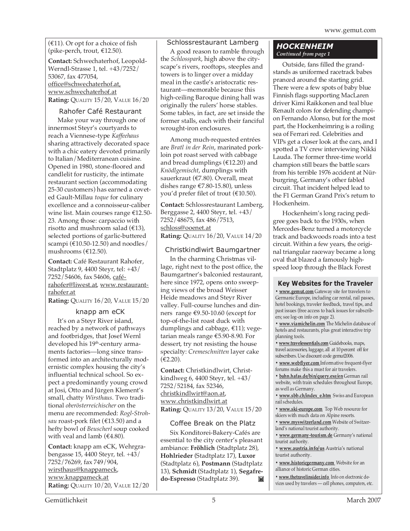$(£11)$ . Or opt for a choice of fish (pike-perch, trout, €12.50).

**Contact:** Schwechaterhof, Leopold-Werndl-Strasse 1, tel. +43/7252/ 53067, fax 477054, office@schwechaterhof.at, www.schwechaterhof.at **Rating:** QUALITY 15/20, VALUE 16/20

#### Rahofer Café Restaurant

Make your way through one of innermost Steyr's courtyards to reach a Viennese-type *Kaffeehaus* sharing attractively decorated space with a chic eatery devoted primarily to Italian/Mediterranean cuisine. Opened in 1980, stone-floored and candlelit for rusticity, the intimate restaurant section (accommodating 25-30 customers) has earned a coveted Gault-Millau *toque* for culinary excellence and a connoisseur-caliber wine list. Main courses range €12.50- 23. Among those: carpaccio with risotto and mushroom salad  $(£13)$ , selected portions of garlic-buttered scampi ( $€10.50-12.50$ ) and noodles/ mushrooms (€12.50).

**Contact:** Café Restaurant Rahofer, Stadtplatz 9, 4400 Steyr, tel: +43/ 7252/54606, fax 54606, caférahofer@liwest.at, www.restaurantrahofer.at

**Rating:** QUALITY 16/20, VALUE 15/20

#### knapp am eCK

It's on a Steyr River island, reached by a network of pathways and footbridges, that Josef Wernl developed his 19<sup>th</sup>-century armaments factories—long since transformed into an architecturally modernistic complex housing the city's influential technical school. So expect a predominantly young crowd at Josi, Otto and Jürgen Klement's small, chatty *Wirsthaus*. Two traditional *oberösterreichischer* on the menu are recommended: *Rogl-Strohsau* roast-pork filet (€13.50) and a hefty bowl of *Beuscherl* soup cooked with veal and lamb ( $\text{\textsterling}4.80$ ).

**Contact:** knapp am eCK, Wehrgrabengasse 15, 4400 Steyr, tel. +43/ 7252/76269, fax 749/904, wirsthaus@knappameck, www.knappameck.at **Rating:** QUALITY 10/20, VALUE 12/20

#### Schlossrestaurant Lamberg

A good reason to ramble through the *Schlosspark*, high above the cityscape's rivers, rooftops, steeples and towers is to linger over a midday meal in the castle's aristocratic restaurant—memorable because this high-ceiling Baroque dining hall was originally the rulers' horse stables. Some tables, in fact, are set inside the former stalls, each with their fanciful wrought-iron enclosures.

Among much-requested entrées are *Bratl in der Rein*, marinated porkloin pot roast served with cabbage and bread dumplings ( $\text{\textsterling}12.20$ ) and *Knödlgemischt*, dumplings with sauerkraut (€7.80). Overall, meat dishes range €7.80-15.80), unless you'd prefer filet of trout (€10.50).

**Contact:** Schlossrestaurant Lamberg, Berggasse 2, 4400 Steyr, tel. +43/ 7252/48675, fax 486/7513, schloss@ooenet.at **Rating: QUALITY 16/20, VALUE 14/20** 

#### Christkindlwirt Baumgartner

In the charming Christmas village, right next to the post office, the Baumgartner's balconied restaurant, here since 1972, opens onto sweeping views of the broad Weisser Heide meadows and Steyr River valley. Full-course lunches and dinners range €9.50-10.60 (except for top-of-the-list roast duck with dumplings and cabbage, €11); vegetarian meals range €5.90-8.90. For dessert, try not resisting the house specialty: *Cremeschnitten* layer cake  $(E2.20)$ .

**Contact:** Christkindlwirt, Christkindlweg 6, 4400 Steyr, tel. +43/ 7252/52184, fax 52346, christkindlwirt@aon.at, www.christkindlwirt.at **Rating:** QUALITY 13/20, VALUE 15/20

#### Coffee Break on the Platz

Six Konditorei-Bakery-Cafés are essential to the city center's pleasant ambiance: **Fröhlich** (Stadtplatz 28), **Hohlrieder** (Stadtplatz 17), **Luxor** (Stadtplatz 6), **Postmann** (Stadtplatz 13), **Schmidt** (Stadtplatz 1), **Segafredo-Espresso** (Stadtplatz 39).  $\mathbf{K}$ 

#### *HOCKENHEIM Continued from page 1*

Outside, fans filled the grandstands as uniformed racetrack babes pranced around the starting grid. There were a few spots of baby blue Finnish flags supporting MacLaren driver Kimi Raikkonen and teal blue Renault colors for defending champion Fernando Alonso, but for the most part, the Hockenheimring is a roiling sea of Ferrari red. Celebrities and VIPs get a closer look at the cars, and I spotted a TV crew interviewing Nikki Lauda. The former three-time world champion still bears the battle scars from his terrible 1976 accident at Nürburgring, Germany's other fabled circuit. That incident helped lead to the F1 German Grand Prix's return to Hockenheim.

Hockenheim's long racing pedigree goes back to the 1930s, when Mercedes-Benz turned a motorcycle track and backwoods roads into a test circuit. Within a few years, the original triangular raceway became a long oval that blazed a famously highspeed loop through the Black Forest

#### **Key Websites for the Traveler**

**• www.gemut.com** Gateway site for travelers to Germanic Europe, including car rental, rail passes, hotel bookings, traveler feedback, travel tips, and past issues (free access to back issues for subscribers; see log-on info on page 2).

**• www.viamichelin.com** The Michelin database of hotels and restaurants, plus great interactive trip planning tools.

**• www.travelessentials.com** Guidebooks, maps, travel accessories, luggage, all at 10 percent off for subscribers. Use discount code gemut2006.

**• www.webflyer.com** Informative frequent-flyer forums make this a must for air travelers.

**• bahn.hafas.de/bin/query.exe/en** German rail website, with train schedules throughout Europe, as well as Germany.

**• www.sbb.ch/index\_e.htm** Swiss and European rail schedules.

**• www.ski-europe.com** Top Web resource for skiers with much data on Alpine resorts.

**• www.myswitzerland.com** Website of Switzerland's national tourist authority.

**• www.germany-tourism.de** Germany's national tourist authority.

**• www.austria.info/us** Austria's national tourist authority.

**• www.historicgermany.com** Website for an alliance of historic German cities.

**• www.thetravelinsider.info** Info on electronic devices used by travelers — cell phones, computers, etc.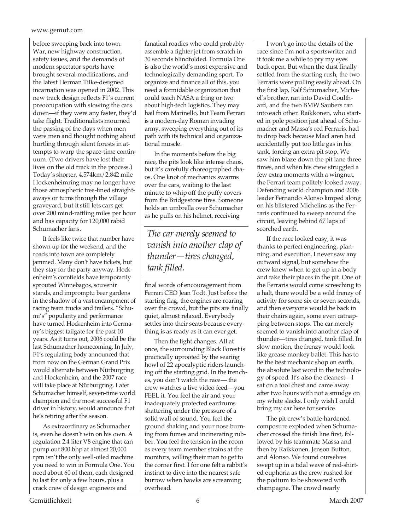#### www.gemut.com

before sweeping back into town. War, new highway construction, safety issues, and the demands of modern spectator sports have brought several modifications, and the latest Herman Tilke-designed incarnation was opened in 2002. This new track design reflects F1's current preoccupation with slowing the cars down—if they were any faster, they'd take flight. Traditionalists mourned the passing of the days when men were men and thought nothing about hurtling through silent forests in attempts to warp the space-time continuum. (Two drivers have lost their lives on the old track in the process.) Today's shorter, 4.574km/2.842 mile Hockenheimring may no longer have those atmospheric tree-lined straightaways or turns through the village graveyard, but it still lets cars get over 200 mind-rattling miles per hour and has capacity for 120,000 rabid Schumacher fans.

It feels like twice that number have shown up for the weekend, and the roads into town are completely jammed. Many don't have tickets, but they stay for the party anyway. Hockenheim's cornfields have temporarily sprouted Winnebagos, souvenir stands, and impromptu beer gardens in the shadow of a vast encampment of racing team trucks and trailers. "Schumi's" popularity and performance have turned Hockenheim into Germany's biggest tailgate for the past 10 years. As it turns out, 2006 could be the last Schumacher homecoming. In July, F1's regulating body announced that from now on the German Grand Prix would alternate between Nürburgring and Hockenheim, and the 2007 race will take place at Nürburgring. Later Schumacher himself, seven-time world champion and the most successful F1 driver in history, would announce that he's retiring after the season.

As extraordinary as Schumacher is, even he doesn't win on his own. A regulation 2.4 liter V8 engine that can pump out 800 bhp at almost 20,000 rpm isn't the only well-oiled machine you need to win in Formula One. You need about 60 of them, each designed to last for only a few hours, plus a crack crew of design engineers and

fanatical roadies who could probably assemble a fighter jet from scratch in 30 seconds blindfolded. Formula One is also the world's most expensive and technologically demanding sport. To organize and finance all of this, you need a formidable organization that could teach NASA a thing or two about high-tech logistics. They may hail from Marinello, but Team Ferrari is a modern-day Roman invading army, sweeping everything out of its path with its technical and organizational muscle.

In the moments before the big race, the pits look like intense chaos, but it's carefully choreographed chaos. One knot of mechanics swarms over the cars, waiting to the last minute to whip off the puffy covers from the Bridgestone tires. Someone holds an umbrella over Schumacher as he pulls on his helmet, receiving

#### *The car merely seemed to vanish into another clap of thunder—tires changed, tank filled.*

final words of encouragement from Ferrari CEO Jean Todt. Just before the starting flag, the engines are roaring over the crowd, but the pits are finally quiet, almost relaxed. Everybody settles into their seats because everything is as ready as it can ever get.

Then the light changes. All at once, the surrounding Black Forest is practically uprooted by the searing howl of 22 apocalyptic riders launching off the starting grid. In the trenches, you don't watch the race— the crew watches a live video feed—you FEEL it. You feel the air and your inadequately protected eardrums shattering under the pressure of a solid wall of sound. You feel the ground shaking and your nose burning from fumes and incinerating rubber. You feel the tension in the room as every team member strains at the monitors, willing their man to get to the corner first. I for one felt a rabbit's instinct to dive into the nearest safe burrow when hawks are screaming overhead.

I won't go into the details of the race since I'm not a sportswriter and it took me a while to pry my eyes back open. But when the dust finally settled from the starting rush, the two Ferraris were pulling easily ahead. On the first lap, Ralf Schumacher, Michael's brother, ran into David Coulthard, and the two BMW Saubers ran into each other. Raikkonen, who started in pole position just ahead of Schumacher and Massa's red Ferraris, had to drop back because MacLaren had accidentally put too little gas in his tank, forcing an extra pit stop. We saw him blaze down the pit lane three times, and when his crew struggled a few extra moments with a wingnut, the Ferrari team politely looked away. Defending world champion and 2006 leader Fernando Alonso limped along on his blistered Michelins as the Ferraris continued to sweep around the circuit, leaving behind 67 laps of scorched earth.

If the race looked easy, it was thanks to perfect engineering, planning, and execution. I never saw any outward signal, but somehow the crew knew when to get up in a body and take their places in the pit. One of the Ferraris would come screeching to a halt, there would be a wild frenzy of activity for some six or seven seconds, and then everyone would be back in their chairs again, some even catnapping between stops. The car merely seemed to vanish into another clap of thunder—tires changed, tank filled. In slow motion, the frenzy would look like grease monkey ballet. This has to be the best mechanic shop on earth, the absolute last word in the technology of speed. It's also the cleanest—I sat on a tool chest and came away after two hours with not a smudge on my white slacks. I only wish I could bring my car here for service.

The pit crew's battle-hardened composure exploded when Schumacher crossed the finish line first, followed by his teammate Massa and then by Raikkonen, Jenson Button, and Alonso. We found ourselves swept up in a tidal wave of red-shirted euphoria as the crew rushed for the podium to be showered with champagne. The crowd nearly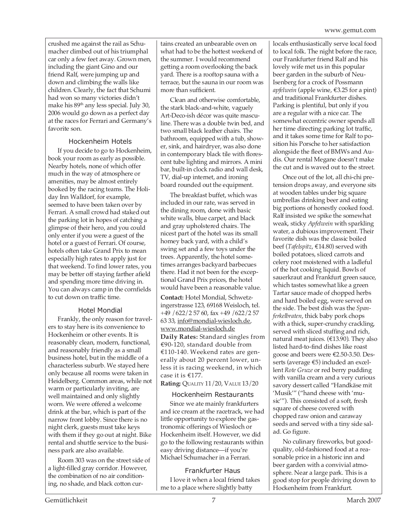crushed me against the rail as Schumacher climbed out of his triumphal car only a few feet away. Grown men, including the giant Gino and our friend Ralf, were jumping up and down and climbing the walls like children. Clearly, the fact that Schumi had won so many victories didn't make his 89<sup>th</sup> any less special. July 30, 2006 would go down as a perfect day at the races for Ferrari and Germany's favorite son.

#### Hockenheim Hotels

If you decide to go to Hockenheim, book your room as early as possible. Nearby hotels, none of which offer much in the way of atmosphere or amenities, may be almost entirely booked by the racing teams. The Holiday Inn Walldorf, for example, seemed to have been taken over by Ferrari. A small crowd had staked out the parking lot in hopes of catching a glimpse of their hero, and you could only enter if you were a guest of the hotel or a guest of Ferrari. Of course, hotels often take Grand Prix to mean especially high rates to apply just for that weekend. To find lower rates, you may be better off staying farther afield and spending more time driving in. You can always camp in the cornfields to cut down on traffic time.

#### Hotel Mondial

Frankly, the only reason for travelers to stay here is its convenience to Hockenheim or other events. It is reasonably clean, modern, functional, and reasonably friendly as a small business hotel, but in the middle of a characterless suburb. We stayed here only because all rooms were taken in Heidelberg. Common areas, while not warm or particularly inviting, are well maintained and only slightly worn. We were offered a welcome drink at the bar, which is part of the narrow front lobby. Since there is no night clerk, guests must take keys with them if they go out at night. Bike rental and shuttle service to the business park are also available.

Room 303 was on the street side of a light-filled gray corridor. However, the combination of no air conditioning, no shade, and black cotton curtains created an unbearable oven on what had to be the hottest weekend of the summer. I would recommend getting a room overlooking the back yard. There is a rooftop sauna with a terrace, but the sauna in our room was more than sufficient.

Clean and otherwise comfortable, the stark black-and-white, vaguely Art-Deco-ish décor was quite masculine. There was a double twin bed, and two small black leather chairs. The bathroom, equipped with a tub, shower, sink, and hairdryer, was also done in contemporary black tile with florescent tube lighting and mirrors. A mini bar, built-in clock radio and wall desk, TV, dial-up internet, and ironing board rounded out the equipment.

The breakfast buffet, which was included in our rate, was served in the dining room, done with basic white walls, blue carpet, and black and gray upholstered chairs. The nicest part of the hotel was its small homey back yard, with a child's swing set and a few toys under the trees. Apparently, the hotel sometimes arranges backyard barbecues there. Had it not been for the exceptional Grand Prix prices, the hotel would have been a reasonable value.

**Contact:** Hotel Mondial, Schwetzingerstrasse 123, 69168 Weisloch, tel. +49 /622/2 57 60, fax +49 /622/2 57 63 33, info@mondial-wiesloch.de, www.mondial-wiesloch.de **Daily Rates:** Standard singles from €90-120, standard double from €110-140. Weekend rates are generally about 20 percent lower, unless it is racing weekend, in which case it is €177.

**Rating:** QUALITY 11/20, VALUE 13/20

#### Hockenheim Restaurants

Since we ate mainly frankfurters and ice cream at the racetrack, we had little opportunity to explore the gastronomic offerings of Wiesloch or Hockenheim itself. However, we did go to the following restaurants within easy driving distance—if you're Michael Schumacher in a Ferrari.

Frankfurter Haus I love it when a local friend takes me to a place where slightly batty

locals enthusiastically serve local food to local folk. The night before the race, our Frankfurter friend Ralf and his lovely wife met us in this popular beer garden in the suburb of Neu-Isenberg for a crock of Possmann *apfelwein* (apple wine, €3.25 for a pint) and traditional Frankfurter dishes. Parking is plentiful, but only if you are a regular with a nice car. The somewhat eccentric owner spends all her time directing parking lot traffic, and it takes some time for Ralf to position his Porsche to her satisfaction alongside the fleet of BMWs and Audis. Our rental Megane doesn't make the cut and is waved out to the street.

Once out of the lot, all chi-chi pretension drops away, and everyone sits at wooden tables under big square umbrellas drinking beer and eating big portions of honestly cooked food. Ralf insisted we spike the somewhat weak, sticky *Apfelwein* with sparkling water, a dubious improvement. Their favorite dish was the classic boiled beef (*Tafelspitz*, €14.80) served with boiled potatoes, sliced carrots and celery root moistened with a ladleful of the hot cooking liquid. Bowls of sauerkraut and Frankfurt green sauce, which tastes somewhat like a green Tartar sauce made of chopped herbs and hard boiled egg, were served on the side. The best dish was the *Spanferkelbraten*, thick baby pork chops with a thick, super-crunchy crackling, served with sliced stuffing and rich, natural meat juices. (€13.90). They also listed hard-to-find dishes like roast goose and beers were €2.50-3.50. Desserts (average €5) included an excellent *Rote Gruze* or red berry pudding with vanilla cream and a very curious savory dessert called "Handkäse mit 'Musik'" ("hand cheese with 'music'"). This consisted of a soft, fresh square of cheese covered with chopped raw onion and caraway seeds and served with a tiny side salad. Go figure.

No culinary fireworks, but goodquality, old-fashioned food at a reasonable price in a historic inn and beer garden with a convivial atmosphere. Near a large park. This is a good stop for people driving down to Hockenheim from Frankfurt.